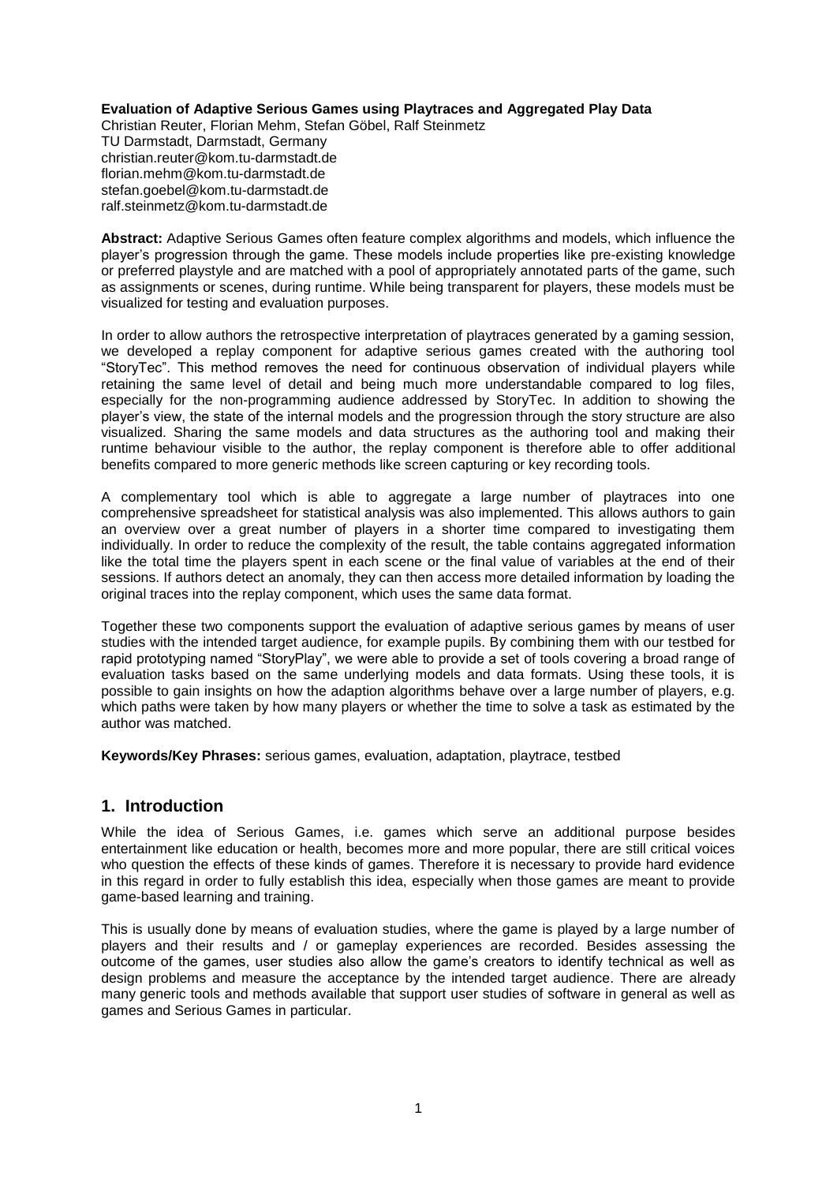#### **Evaluation of Adaptive Serious Games using Playtraces and Aggregated Play Data**

Christian Reuter, Florian Mehm, Stefan Göbel, Ralf Steinmetz TU Darmstadt, Darmstadt, Germany christian.reuter@kom.tu-darmstadt.de florian.mehm@kom.tu-darmstadt.de stefan.goebel@kom.tu-darmstadt.de ralf.steinmetz@kom.tu-darmstadt.de

**Abstract:** Adaptive Serious Games often feature complex algorithms and models, which influence the player's progression through the game. These models include properties like pre-existing knowledge or preferred playstyle and are matched with a pool of appropriately annotated parts of the game, such as assignments or scenes, during runtime. While being transparent for players, these models must be visualized for testing and evaluation purposes.

In order to allow authors the retrospective interpretation of playtraces generated by a gaming session, we developed a replay component for adaptive serious games created with the authoring tool "StoryTec". This method removes the need for continuous observation of individual players while retaining the same level of detail and being much more understandable compared to log files, especially for the non-programming audience addressed by StoryTec. In addition to showing the player's view, the state of the internal models and the progression through the story structure are also visualized. Sharing the same models and data structures as the authoring tool and making their runtime behaviour visible to the author, the replay component is therefore able to offer additional benefits compared to more generic methods like screen capturing or key recording tools.

A complementary tool which is able to aggregate a large number of playtraces into one comprehensive spreadsheet for statistical analysis was also implemented. This allows authors to gain an overview over a great number of players in a shorter time compared to investigating them individually. In order to reduce the complexity of the result, the table contains aggregated information like the total time the players spent in each scene or the final value of variables at the end of their sessions. If authors detect an anomaly, they can then access more detailed information by loading the original traces into the replay component, which uses the same data format.

Together these two components support the evaluation of adaptive serious games by means of user studies with the intended target audience, for example pupils. By combining them with our testbed for rapid prototyping named "StoryPlay", we were able to provide a set of tools covering a broad range of evaluation tasks based on the same underlying models and data formats. Using these tools, it is possible to gain insights on how the adaption algorithms behave over a large number of players, e.g. which paths were taken by how many players or whether the time to solve a task as estimated by the author was matched.

**Keywords/Key Phrases:** serious games, evaluation, adaptation, playtrace, testbed

#### **1. Introduction**

While the idea of Serious Games, i.e. games which serve an additional purpose besides entertainment like education or health, becomes more and more popular, there are still critical voices who question the effects of these kinds of games. Therefore it is necessary to provide hard evidence in this regard in order to fully establish this idea, especially when those games are meant to provide game-based learning and training.

This is usually done by means of evaluation studies, where the game is played by a large number of players and their results and / or gameplay experiences are recorded. Besides assessing the outcome of the games, user studies also allow the game's creators to identify technical as well as design problems and measure the acceptance by the intended target audience. There are already many generic tools and methods available that support user studies of software in general as well as games and Serious Games in particular.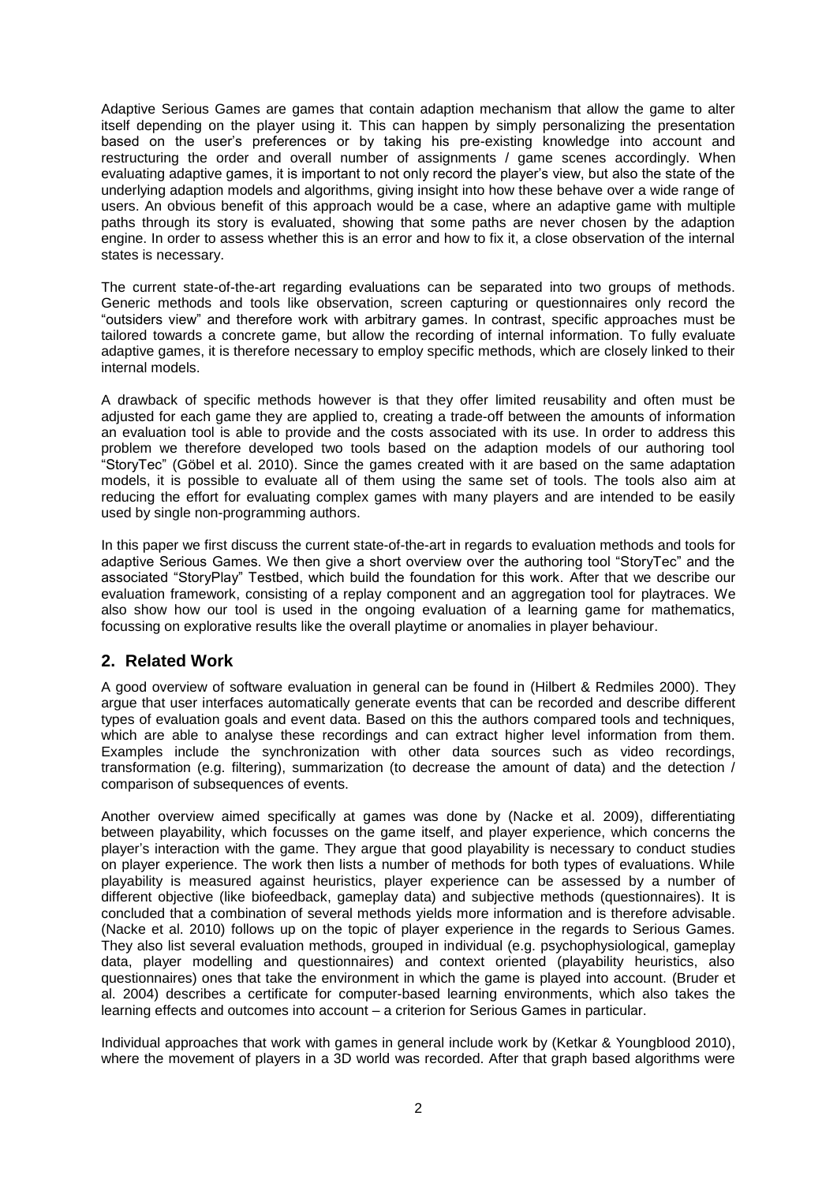Adaptive Serious Games are games that contain adaption mechanism that allow the game to alter itself depending on the player using it. This can happen by simply personalizing the presentation based on the user's preferences or by taking his pre-existing knowledge into account and restructuring the order and overall number of assignments / game scenes accordingly. When evaluating adaptive games, it is important to not only record the player's view, but also the state of the underlying adaption models and algorithms, giving insight into how these behave over a wide range of users. An obvious benefit of this approach would be a case, where an adaptive game with multiple paths through its story is evaluated, showing that some paths are never chosen by the adaption engine. In order to assess whether this is an error and how to fix it, a close observation of the internal states is necessary.

The current state-of-the-art regarding evaluations can be separated into two groups of methods. Generic methods and tools like observation, screen capturing or questionnaires only record the "outsiders view" and therefore work with arbitrary games. In contrast, specific approaches must be tailored towards a concrete game, but allow the recording of internal information. To fully evaluate adaptive games, it is therefore necessary to employ specific methods, which are closely linked to their internal models.

A drawback of specific methods however is that they offer limited reusability and often must be adjusted for each game they are applied to, creating a trade-off between the amounts of information an evaluation tool is able to provide and the costs associated with its use. In order to address this problem we therefore developed two tools based on the adaption models of our authoring tool "StoryTec" (Göbel et al. 2010). Since the games created with it are based on the same adaptation models, it is possible to evaluate all of them using the same set of tools. The tools also aim at reducing the effort for evaluating complex games with many players and are intended to be easily used by single non-programming authors.

In this paper we first discuss the current state-of-the-art in regards to evaluation methods and tools for adaptive Serious Games. We then give a short overview over the authoring tool "StoryTec" and the associated "StoryPlay" Testbed, which build the foundation for this work. After that we describe our evaluation framework, consisting of a replay component and an aggregation tool for playtraces. We also show how our tool is used in the ongoing evaluation of a learning game for mathematics, focussing on explorative results like the overall playtime or anomalies in player behaviour.

#### **2. Related Work**

A good overview of software evaluation in general can be found in (Hilbert & Redmiles 2000). They argue that user interfaces automatically generate events that can be recorded and describe different types of evaluation goals and event data. Based on this the authors compared tools and techniques, which are able to analyse these recordings and can extract higher level information from them. Examples include the synchronization with other data sources such as video recordings, transformation (e.g. filtering), summarization (to decrease the amount of data) and the detection / comparison of subsequences of events.

Another overview aimed specifically at games was done by (Nacke et al. 2009), differentiating between playability, which focusses on the game itself, and player experience, which concerns the player's interaction with the game. They argue that good playability is necessary to conduct studies on player experience. The work then lists a number of methods for both types of evaluations. While playability is measured against heuristics, player experience can be assessed by a number of different objective (like biofeedback, gameplay data) and subjective methods (questionnaires). It is concluded that a combination of several methods yields more information and is therefore advisable. (Nacke et al. 2010) follows up on the topic of player experience in the regards to Serious Games. They also list several evaluation methods, grouped in individual (e.g. psychophysiological, gameplay data, player modelling and questionnaires) and context oriented (playability heuristics, also questionnaires) ones that take the environment in which the game is played into account. (Bruder et al. 2004) describes a certificate for computer-based learning environments, which also takes the learning effects and outcomes into account – a criterion for Serious Games in particular.

Individual approaches that work with games in general include work by (Ketkar & Youngblood 2010), where the movement of players in a 3D world was recorded. After that graph based algorithms were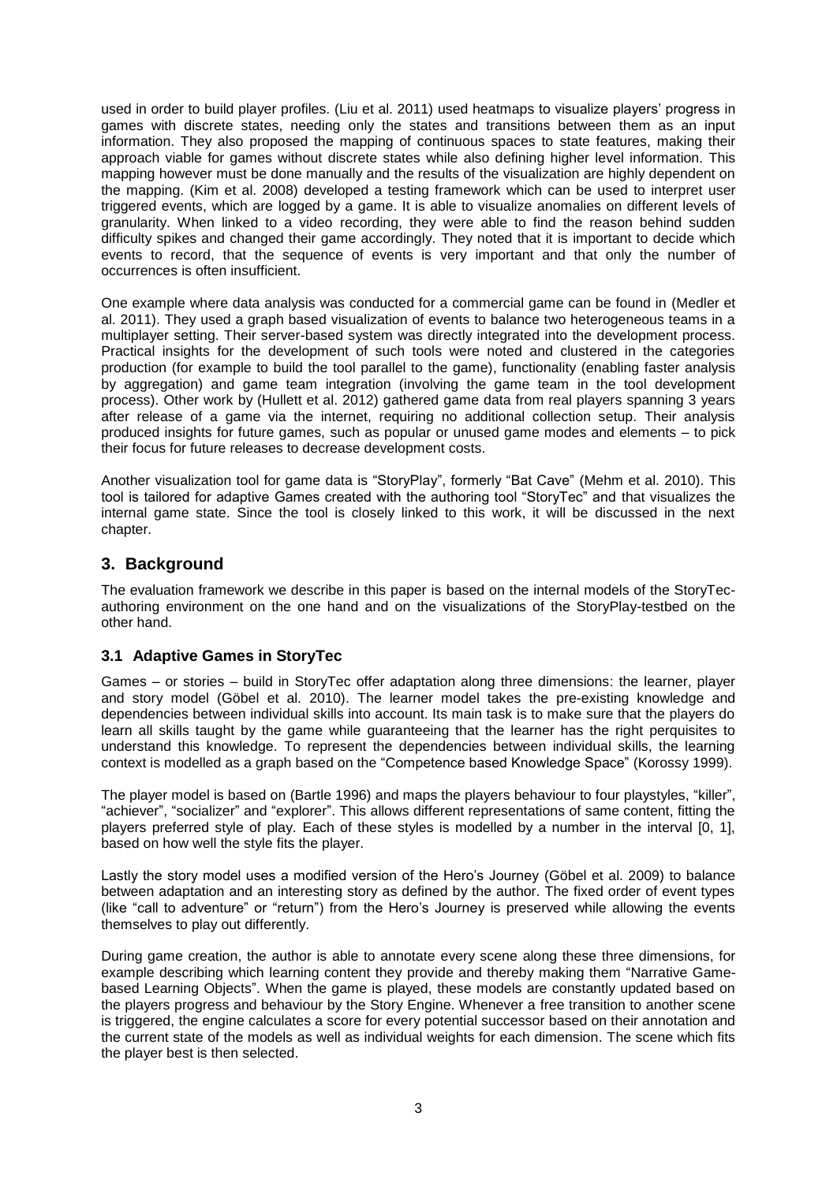used in order to build player profiles. (Liu et al. 2011) used heatmaps to visualize players' progress in games with discrete states, needing only the states and transitions between them as an input information. They also proposed the mapping of continuous spaces to state features, making their approach viable for games without discrete states while also defining higher level information. This mapping however must be done manually and the results of the visualization are highly dependent on the mapping. (Kim et al. 2008) developed a testing framework which can be used to interpret user triggered events, which are logged by a game. It is able to visualize anomalies on different levels of granularity. When linked to a video recording, they were able to find the reason behind sudden difficulty spikes and changed their game accordingly. They noted that it is important to decide which events to record, that the sequence of events is very important and that only the number of occurrences is often insufficient.

One example where data analysis was conducted for a commercial game can be found in (Medler et al. 2011). They used a graph based visualization of events to balance two heterogeneous teams in a multiplayer setting. Their server-based system was directly integrated into the development process. Practical insights for the development of such tools were noted and clustered in the categories production (for example to build the tool parallel to the game), functionality (enabling faster analysis by aggregation) and game team integration (involving the game team in the tool development process). Other work by (Hullett et al. 2012) gathered game data from real players spanning 3 years after release of a game via the internet, requiring no additional collection setup. Their analysis produced insights for future games, such as popular or unused game modes and elements – to pick their focus for future releases to decrease development costs.

Another visualization tool for game data is "StoryPlay", formerly "Bat Cave" (Mehm et al. 2010). This tool is tailored for adaptive Games created with the authoring tool "StoryTec" and that visualizes the internal game state. Since the tool is closely linked to this work, it will be discussed in the next chapter.

## **3. Background**

The evaluation framework we describe in this paper is based on the internal models of the StoryTecauthoring environment on the one hand and on the visualizations of the StoryPlay-testbed on the other hand.

#### **3.1 Adaptive Games in StoryTec**

Games – or stories – build in StoryTec offer adaptation along three dimensions: the learner, player and story model (Göbel et al. 2010). The learner model takes the pre-existing knowledge and dependencies between individual skills into account. Its main task is to make sure that the players do learn all skills taught by the game while guaranteeing that the learner has the right perquisites to understand this knowledge. To represent the dependencies between individual skills, the learning context is modelled as a graph based on the "Competence based Knowledge Space" (Korossy 1999).

The player model is based on (Bartle 1996) and maps the players behaviour to four playstyles, "killer", "achiever", "socializer" and "explorer". This allows different representations of same content, fitting the players preferred style of play. Each of these styles is modelled by a number in the interval [0, 1], based on how well the style fits the player.

Lastly the story model uses a modified version of the Hero's Journey (Göbel et al. 2009) to balance between adaptation and an interesting story as defined by the author. The fixed order of event types (like "call to adventure" or "return") from the Hero's Journey is preserved while allowing the events themselves to play out differently.

During game creation, the author is able to annotate every scene along these three dimensions, for example describing which learning content they provide and thereby making them "Narrative Gamebased Learning Objects". When the game is played, these models are constantly updated based on the players progress and behaviour by the Story Engine. Whenever a free transition to another scene is triggered, the engine calculates a score for every potential successor based on their annotation and the current state of the models as well as individual weights for each dimension. The scene which fits the player best is then selected.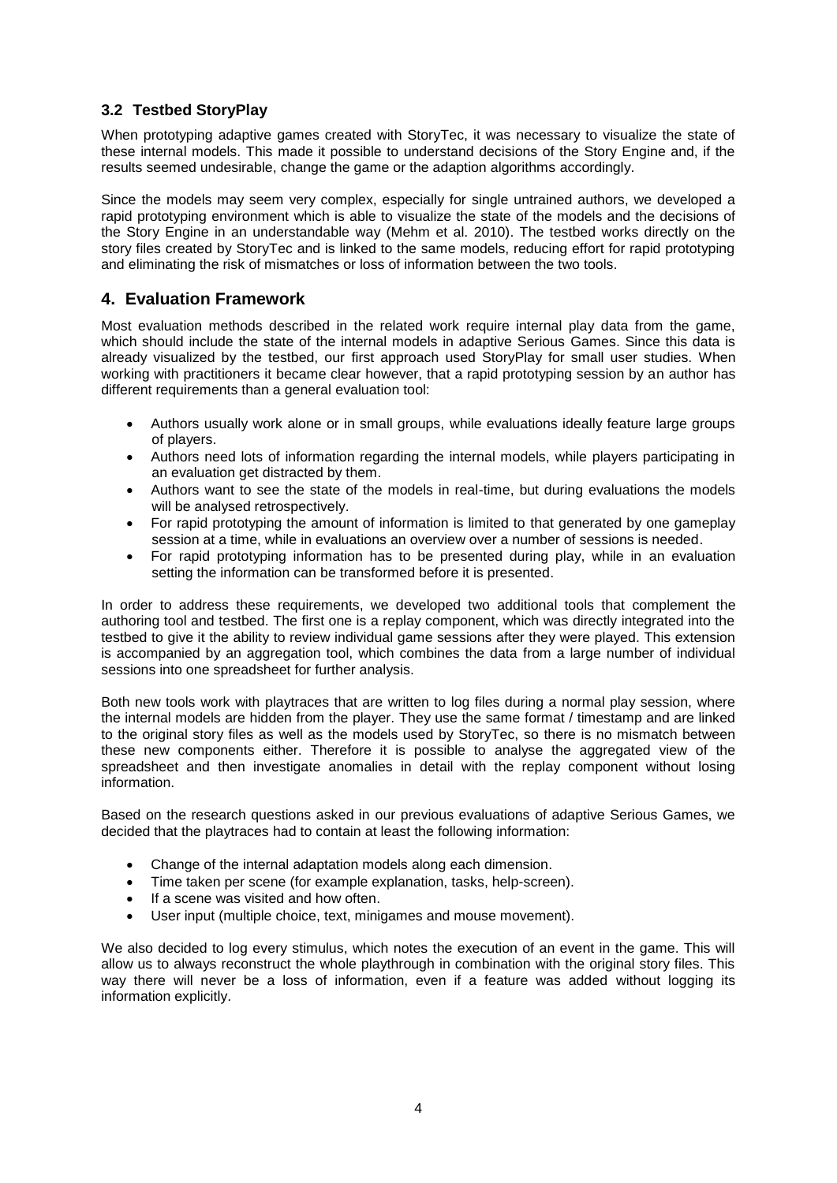## **3.2 Testbed StoryPlay**

When prototyping adaptive games created with StoryTec, it was necessary to visualize the state of these internal models. This made it possible to understand decisions of the Story Engine and, if the results seemed undesirable, change the game or the adaption algorithms accordingly.

Since the models may seem very complex, especially for single untrained authors, we developed a rapid prototyping environment which is able to visualize the state of the models and the decisions of the Story Engine in an understandable way (Mehm et al. 2010). The testbed works directly on the story files created by StoryTec and is linked to the same models, reducing effort for rapid prototyping and eliminating the risk of mismatches or loss of information between the two tools.

## **4. Evaluation Framework**

Most evaluation methods described in the related work require internal play data from the game, which should include the state of the internal models in adaptive Serious Games. Since this data is already visualized by the testbed, our first approach used StoryPlay for small user studies. When working with practitioners it became clear however, that a rapid prototyping session by an author has different requirements than a general evaluation tool:

- Authors usually work alone or in small groups, while evaluations ideally feature large groups of players.
- Authors need lots of information regarding the internal models, while players participating in an evaluation get distracted by them.
- Authors want to see the state of the models in real-time, but during evaluations the models will be analysed retrospectively.
- For rapid prototyping the amount of information is limited to that generated by one gameplay session at a time, while in evaluations an overview over a number of sessions is needed.
- For rapid prototyping information has to be presented during play, while in an evaluation setting the information can be transformed before it is presented.

In order to address these requirements, we developed two additional tools that complement the authoring tool and testbed. The first one is a replay component, which was directly integrated into the testbed to give it the ability to review individual game sessions after they were played. This extension is accompanied by an aggregation tool, which combines the data from a large number of individual sessions into one spreadsheet for further analysis.

Both new tools work with playtraces that are written to log files during a normal play session, where the internal models are hidden from the player. They use the same format / timestamp and are linked to the original story files as well as the models used by StoryTec, so there is no mismatch between these new components either. Therefore it is possible to analyse the aggregated view of the spreadsheet and then investigate anomalies in detail with the replay component without losing information.

Based on the research questions asked in our previous evaluations of adaptive Serious Games, we decided that the playtraces had to contain at least the following information:

- Change of the internal adaptation models along each dimension.
- Time taken per scene (for example explanation, tasks, help-screen).
- If a scene was visited and how often.
- User input (multiple choice, text, minigames and mouse movement).

We also decided to log every stimulus, which notes the execution of an event in the game. This will allow us to always reconstruct the whole playthrough in combination with the original story files. This way there will never be a loss of information, even if a feature was added without logging its information explicitly.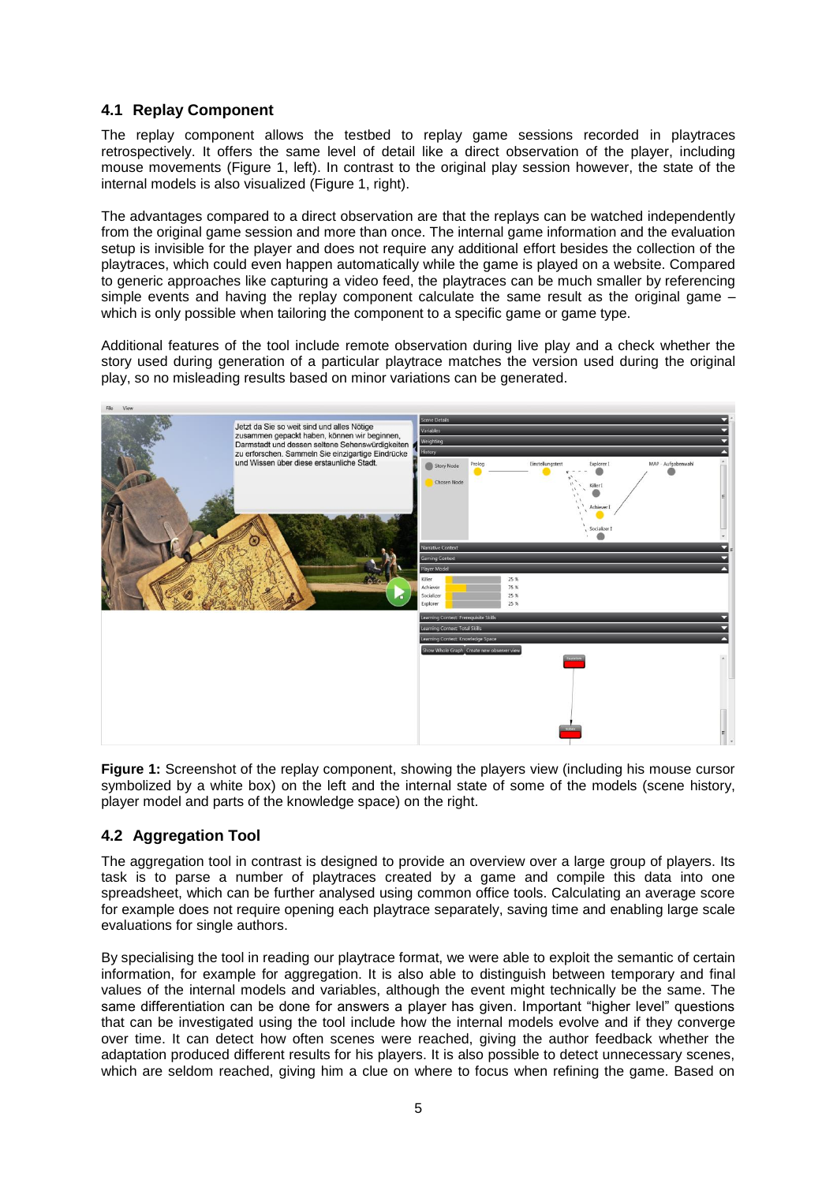## **4.1 Replay Component**

The replay component allows the testbed to replay game sessions recorded in playtraces retrospectively. It offers the same level of detail like a direct observation of the player, including mouse movements (Figure 1, left). In contrast to the original play session however, the state of the internal models is also visualized (Figure 1, right).

The advantages compared to a direct observation are that the replays can be watched independently from the original game session and more than once. The internal game information and the evaluation setup is invisible for the player and does not require any additional effort besides the collection of the playtraces, which could even happen automatically while the game is played on a website. Compared to generic approaches like capturing a video feed, the playtraces can be much smaller by referencing simple events and having the replay component calculate the same result as the original game – which is only possible when tailoring the component to a specific game or game type.

Additional features of the tool include remote observation during live play and a check whether the story used during generation of a particular playtrace matches the version used during the original play, so no misleading results based on minor variations can be generated.



**Figure 1:** Screenshot of the replay component, showing the players view (including his mouse cursor symbolized by a white box) on the left and the internal state of some of the models (scene history, player model and parts of the knowledge space) on the right.

## **4.2 Aggregation Tool**

The aggregation tool in contrast is designed to provide an overview over a large group of players. Its task is to parse a number of playtraces created by a game and compile this data into one spreadsheet, which can be further analysed using common office tools. Calculating an average score for example does not require opening each playtrace separately, saving time and enabling large scale evaluations for single authors.

By specialising the tool in reading our playtrace format, we were able to exploit the semantic of certain information, for example for aggregation. It is also able to distinguish between temporary and final values of the internal models and variables, although the event might technically be the same. The same differentiation can be done for answers a player has given. Important "higher level" questions that can be investigated using the tool include how the internal models evolve and if they converge over time. It can detect how often scenes were reached, giving the author feedback whether the adaptation produced different results for his players. It is also possible to detect unnecessary scenes, which are seldom reached, giving him a clue on where to focus when refining the game. Based on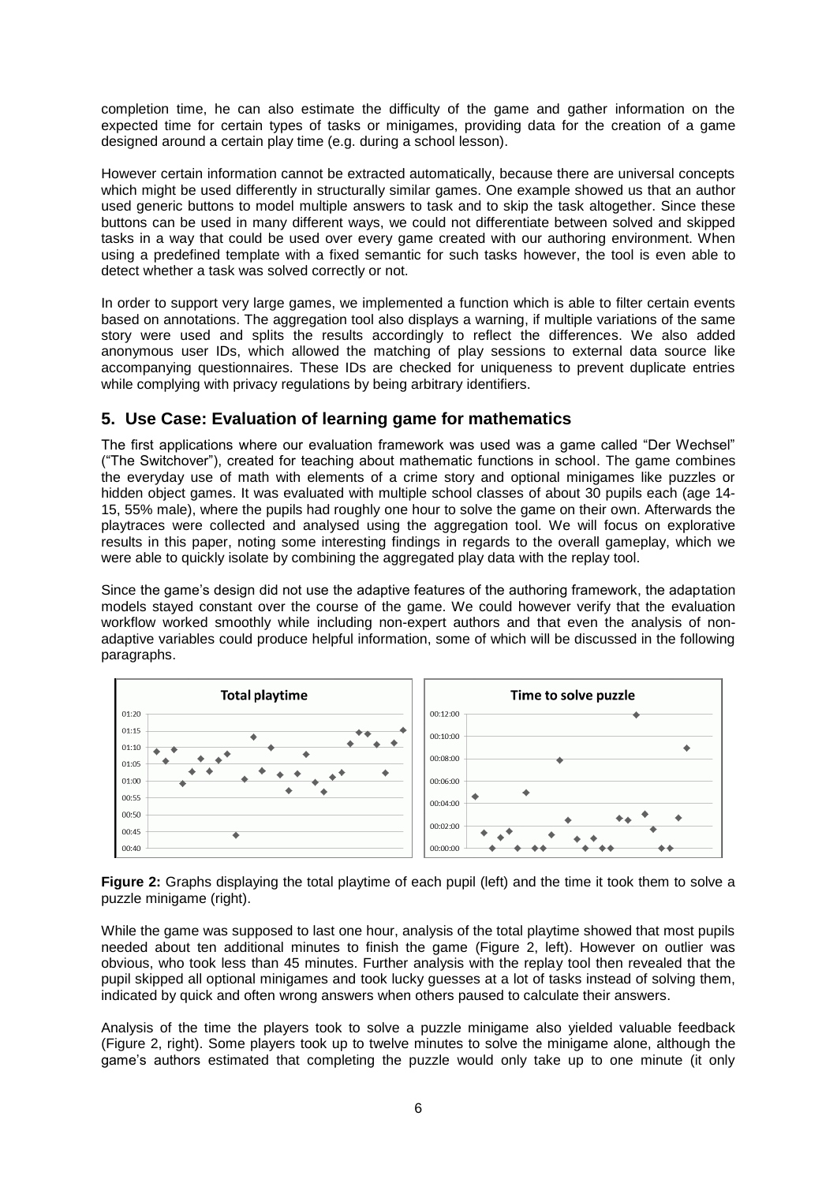completion time, he can also estimate the difficulty of the game and gather information on the expected time for certain types of tasks or minigames, providing data for the creation of a game designed around a certain play time (e.g. during a school lesson).

However certain information cannot be extracted automatically, because there are universal concepts which might be used differently in structurally similar games. One example showed us that an author used generic buttons to model multiple answers to task and to skip the task altogether. Since these buttons can be used in many different ways, we could not differentiate between solved and skipped tasks in a way that could be used over every game created with our authoring environment. When using a predefined template with a fixed semantic for such tasks however, the tool is even able to detect whether a task was solved correctly or not.

In order to support very large games, we implemented a function which is able to filter certain events based on annotations. The aggregation tool also displays a warning, if multiple variations of the same story were used and splits the results accordingly to reflect the differences. We also added anonymous user IDs, which allowed the matching of play sessions to external data source like accompanying questionnaires. These IDs are checked for uniqueness to prevent duplicate entries while complying with privacy regulations by being arbitrary identifiers.

## **5. Use Case: Evaluation of learning game for mathematics**

The first applications where our evaluation framework was used was a game called "Der Wechsel" ("The Switchover"), created for teaching about mathematic functions in school. The game combines the everyday use of math with elements of a crime story and optional minigames like puzzles or hidden object games. It was evaluated with multiple school classes of about 30 pupils each (age 14-15, 55% male), where the pupils had roughly one hour to solve the game on their own. Afterwards the playtraces were collected and analysed using the aggregation tool. We will focus on explorative results in this paper, noting some interesting findings in regards to the overall gameplay, which we were able to quickly isolate by combining the aggregated play data with the replay tool.

Since the game's design did not use the adaptive features of the authoring framework, the adaptation models stayed constant over the course of the game. We could however verify that the evaluation workflow worked smoothly while including non-expert authors and that even the analysis of nonadaptive variables could produce helpful information, some of which will be discussed in the following paragraphs.



**Figure 2:** Graphs displaying the total playtime of each pupil (left) and the time it took them to solve a puzzle minigame (right).

While the game was supposed to last one hour, analysis of the total playtime showed that most pupils needed about ten additional minutes to finish the game (Figure 2, left). However on outlier was obvious, who took less than 45 minutes. Further analysis with the replay tool then revealed that the pupil skipped all optional minigames and took lucky guesses at a lot of tasks instead of solving them, indicated by quick and often wrong answers when others paused to calculate their answers.

Analysis of the time the players took to solve a puzzle minigame also yielded valuable feedback (Figure 2, right). Some players took up to twelve minutes to solve the minigame alone, although the game's authors estimated that completing the puzzle would only take up to one minute (it only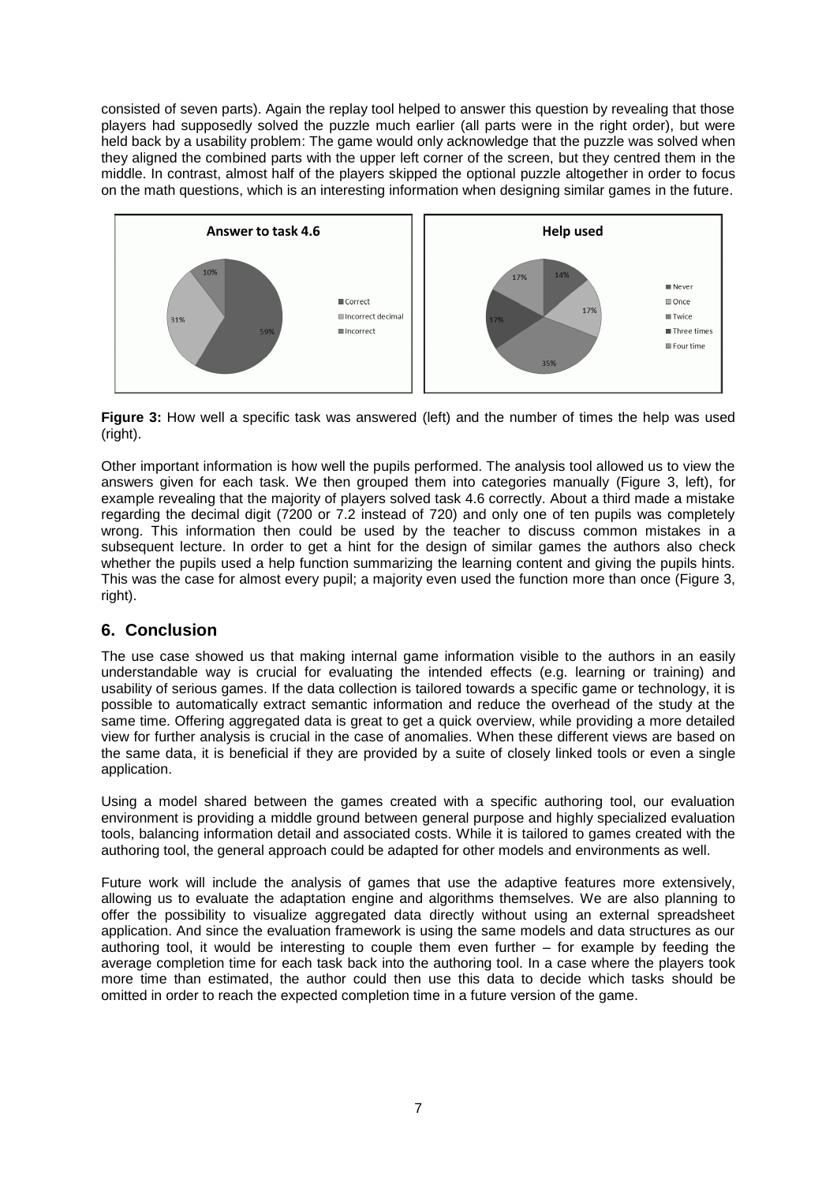consisted of seven parts). Again the replay tool helped to answer this question by revealing that those players had supposedly solved the puzzle much earlier (all parts were in the right order), but were held back by a usability problem: The game would only acknowledge that the puzzle was solved when they aligned the combined parts with the upper left corner of the screen, but they centred them in the middle. In contrast, almost half of the players skipped the optional puzzle altogether in order to focus on the math questions, which is an interesting information when designing similar games in the future.



**Figure 3:** How well a specific task was answered (left) and the number of times the help was used (right).

Other important information is how well the pupils performed. The analysis tool allowed us to view the answers given for each task. We then grouped them into categories manually (Figure 3, left), for example revealing that the majority of players solved task 4.6 correctly. About a third made a mistake regarding the decimal digit (7200 or 7.2 instead of 720) and only one of ten pupils was completely wrong. This information then could be used by the teacher to discuss common mistakes in a subsequent lecture. In order to get a hint for the design of similar games the authors also check whether the pupils used a help function summarizing the learning content and giving the pupils hints. This was the case for almost every pupil; a majority even used the function more than once (Figure 3, right).

#### **6. Conclusion**

The use case showed us that making internal game information visible to the authors in an easily understandable way is crucial for evaluating the intended effects (e.g. learning or training) and usability of serious games. If the data collection is tailored towards a specific game or technology, it is possible to automatically extract semantic information and reduce the overhead of the study at the same time. Offering aggregated data is great to get a quick overview, while providing a more detailed view for further analysis is crucial in the case of anomalies. When these different views are based on the same data, it is beneficial if they are provided by a suite of closely linked tools or even a single application.

Using a model shared between the games created with a specific authoring tool, our evaluation environment is providing a middle ground between general purpose and highly specialized evaluation tools, balancing information detail and associated costs. While it is tailored to games created with the authoring tool, the general approach could be adapted for other models and environments as well.

Future work will include the analysis of games that use the adaptive features more extensively, allowing us to evaluate the adaptation engine and algorithms themselves. We are also planning to offer the possibility to visualize aggregated data directly without using an external spreadsheet application. And since the evaluation framework is using the same models and data structures as our authoring tool, it would be interesting to couple them even further – for example by feeding the average completion time for each task back into the authoring tool. In a case where the players took more time than estimated, the author could then use this data to decide which tasks should be omitted in order to reach the expected completion time in a future version of the game.